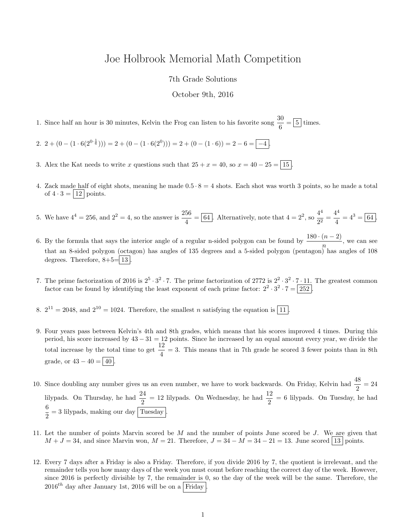## Joe Holbrook Memorial Math Competition

## 7th Grade Solutions

## October 9th, 2016

1. Since half an hour is 30 minutes, Kelvin the Frog can listen to his favorite song  $\frac{30}{6} = \boxed{5}$  times.

2.  $2 + (0 - (1 \cdot 6(2^{0 \cdot \frac{1}{6}}))) = 2 + (0 - (1 \cdot 6(2^{0}))) = 2 + (0 - (1 \cdot 6)) = 2 - 6 = \boxed{-4}$ .

- 3. Alex the Kat needs to write x questions such that  $25 + x = 40$ , so  $x = 40 25 = \boxed{15}$
- 4. Zack made half of eight shots, meaning he made  $0.5 \cdot 8 = 4$  shots. Each shot was worth 3 points, so he made a total of  $4 \cdot 3 = |12|$  points.
- 5. We have  $4^4 = 256$ , and  $2^2 = 4$ , so the answer is  $\frac{256}{4} = \boxed{64}$ . Alternatively, note that  $4 = 2^2$ , so  $\frac{4^4}{2^2}$  $rac{4^4}{2^2} = \frac{4^4}{4}$  $\frac{4}{4} = 4^3 = 64.$
- 6. By the formula that says the interior angle of a regular n-sided polygon can be found by  $\frac{180 \cdot (n-2)}{n}$ , we can see that an 8-sided polygon (octagon) has angles of 135 degrees and a 5-sided polygon (pentagon) has angles of 108 degrees. Therefore,  $8+5=13$
- 7. The prime factorization of 2016 is  $2^5 \cdot 3^2 \cdot 7$ . The prime factorization of 2772 is  $2^2 \cdot 3^2 \cdot 7 \cdot 11$ . The greatest common factor can be found by identifying the least exponent of each prime factor:  $2^2 \cdot 3^2 \cdot 7 = 252$ .
- 8.  $2^{11} = 2048$ , and  $2^{10} = 1024$ . Therefore, the smallest *n* satisfying the equation is  $\boxed{11}$ .
- 9. Four years pass between Kelvin's 4th and 8th grades, which means that his scores improved 4 times. During this period, his score increased by 43 − 31 = 12 points. Since he increased by an equal amount every year, we divide the total increase by the total time to get  $\frac{12}{4} = 3$ . This means that in 7th grade he scored 3 fewer points than in 8th grade, or  $43 - 40 = 40$
- 10. Since doubling any number gives us an even number, we have to work backwards. On Friday, Kelvin had  $\frac{48}{2} = 24$ lilypads. On Thursday, he had  $\frac{24}{2} = 12$  lilypads. On Wednesday, he had  $\frac{12}{2} = 6$  lilypads. On Tuesday, he had 6  $\frac{1}{2}$  = 3 lilypads, making our day Tuesday.
- 11. Let the number of points Marvin scored be M and the number of points June scored be J. We are given that  $M + J = 34$ , and since Marvin won,  $M = 21$ . Therefore,  $J = 34 - M = 34 - 21 = 13$ . June scored 13 points.
- 12. Every 7 days after a Friday is also a Friday. Therefore, if you divide 2016 by 7, the quotient is irrelevant, and the remainder tells you how many days of the week you must count before reaching the correct day of the week. However, since 2016 is perfectly divisible by 7, the remainder is 0, so the day of the week will be the same. Therefore, the  $2016^{th}$  day after January 1st, 2016 will be on a Friday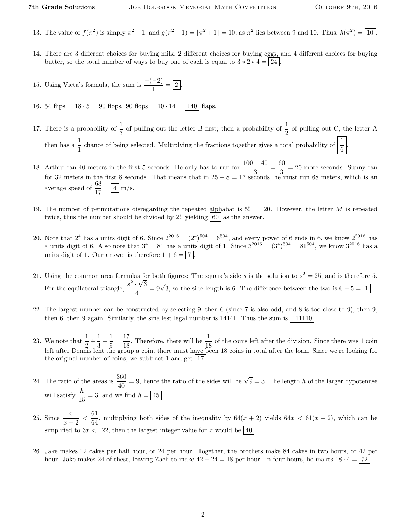- 13. The value of  $f(\pi^2)$  is simply  $\pi^2 + 1$ , and  $g(\pi^2 + 1) = |\pi^2 + 1| = 10$ , as  $\pi^2$  lies between 9 and 10. Thus,  $h(\pi^2) = 10$ .
- 14. There are 3 different choices for buying milk, 2 different choices for buying eggs, and 4 different choices for buying butter, so the total number of ways to buy one of each is equal to  $3 * 2 * 4 = |24|$
- 15. Using Vieta's formula, the sum is  $\frac{-(-2)}{1} = \boxed{2}$ .
- 16. 54 flips =  $18 \cdot 5 = 90$  flops. 90 flops =  $10 \cdot 14 = \boxed{140}$  flaps.
- 17. There is a probability of  $\frac{1}{3}$  of pulling out the letter B first; then a probability of  $\frac{1}{2}$  of pulling out C; the letter A then has a  $\frac{1}{1}$  chance of being selected. Multiplying the fractions together gives a total probability of  $\left|\frac{1}{6}\right|$ .
- 18. Arthur ran 40 meters in the first 5 seconds. He only has to run for  $\frac{100-40}{3} = \frac{60}{3}$  $\frac{30}{3}$  = 20 more seconds. Sunny ran for 32 meters in the first 8 seconds. That means that in  $25 - 8 = 17$  seconds, he must run 68 meters, which is an average speed of  $\frac{68}{17} = \boxed{4}$  m/s.
- 19. The number of permutations disregarding the repeated alphabat is  $5! = 120$ . However, the letter M is repeated twice, thus the number should be divided by 2!, yielding  $|60|$  as the answer.
- 20. Note that  $2^4$  has a units digit of 6. Since  $2^{2016} = (2^4)^{504} = 6^{504}$ , and every power of 6 ends in 6, we know  $2^{2016}$  has a units digit of 6. Also note that  $3^4 = 81$  has a units digit of 1. Since  $3^{2016} = (3^4)^{504} = 81^{504}$ , we know  $3^{2016}$  has a units digit of 1. Our answer is therefore  $1 + 6 = |7|$
- 21. Using the common area formulas for both figures: The square's side s is the solution to  $s^2 = 25$ , and is therefore 5. For the equilateral triangle,  $\frac{s^2 \cdot \sqrt{3}}{4}$  $\frac{1}{\sqrt{3}} = 9\sqrt{3}$ , so the side length is 6. The difference between the two is  $6 - 5 = 1$ .
- 22. The largest number can be constructed by selecting 9, then 6 (since 7 is also odd, and 8 is too close to 9), then 9, then 6, then 9 again. Similarly, the smallest legal number is  $14141$ . Thus the sum is  $|111110|$
- 23. We note that  $\frac{1}{2} + \frac{1}{3}$  $\frac{1}{3} + \frac{1}{9}$  $\frac{1}{9} = \frac{17}{18}$  $\frac{17}{18}$ . Therefore, there will be  $\frac{1}{18}$  of the coins left after the division. Since there was 1 coin left after Dennis lent the group a coin, there must have been 18 coins in total after the loan. Since we're looking for the original number of coins, we subtract 1 and get  $|17|$ .
- 24. The ratio of the areas is  $\frac{360}{40} = 9$ , hence the ratio of the sides will be  $\sqrt{9} = 3$ . The length h of the larger hypotenuse will satisfy  $\frac{h}{15} = 3$ , and we find  $h = \boxed{45}$ .
- 25. Since  $\frac{x}{x+2} < \frac{61}{64}$  $\frac{64}{64}$ , multiplying both sides of the inequality by  $64(x + 2)$  yields  $64x < 61(x + 2)$ , which can be simplified to  $3x < 122$ , then the largest integer value for x would be  $\boxed{40}$ .
- 26. Jake makes 12 cakes per half hour, or 24 per hour. Together, the brothers make 84 cakes in two hours, or 42 per hour. Jake makes 24 of these, leaving Zach to make  $42 - 24 = 18$  per hour. In four hours, he makes  $18 \cdot 4 = |72|$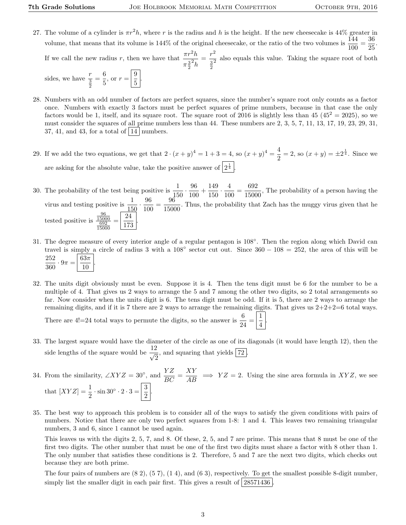27. The volume of a cylinder is  $\pi r^2 h$ , where r is the radius and h is the height. If the new cheesecake is  $44\%$  greater in  $\frac{144}{36}$ volume, that means that its volume is 144% of the original cheesecake, or the ratio of the two volumes is  $\frac{144}{100} = \frac{36}{25}$  $\frac{50}{25}$ . If we call the new radius r, then we have that  $\frac{\pi r^2 h}{r^2}$  $\pi \frac{3}{2}$  $\overline{\mathbb{Z}_h}$  $=\frac{r^2}{a^2}$  $\frac{3}{2}$  $\frac{1}{2}$  also equals this value. Taking the square root of both

sides, we have  $\frac{r}{\frac{3}{2}}$  $=\frac{6}{5}$  $\frac{6}{5}$ , or  $r = \left| \frac{9}{5} \right|$  $\frac{5}{5}$ 

- 28. Numbers with an odd number of factors are perfect squares, since the number's square root only counts as a factor once. Numbers with exactly 3 factors must be perfect squares of prime numbers, because in that case the only factors would be 1, itself, and its square root. The square root of 2016 is slightly less than 45  $(45^2 = 2025)$ , so we must consider the squares of all prime numbers less than 44. These numbers are 2, 3, 5, 7, 11, 13, 17, 19, 23, 29, 31, 37, 41, and 43, for a total of  $|14|$  numbers.
- 29. If we add the two equations, we get that  $2 \cdot (x+y)^4 = 1 + 3 = 4$ , so  $(x+y)^4 = \frac{4}{3}$  $\frac{4}{2}$  = 2, so  $(x + y) = \pm 2^{\frac{1}{4}}$ . Since we are asking for the absolute value, take the positive answer of  $2^{\frac{1}{4}}$ .
- 30. The probability of the test being positive is  $\frac{1}{150} \cdot \frac{96}{100}$  $\frac{96}{100} + \frac{149}{150}$  $\frac{149}{150} \cdot \frac{4}{10}$  $\frac{4}{100} = \frac{692}{1500}$  $\frac{0.02}{15000}$ , The probability of a person having the virus and testing positive is  $\frac{1}{150} \cdot \frac{96}{100}$  $\frac{96}{100} = \frac{96}{1500}$  $\frac{60}{15000}$ . Thus, the probability that Zach has the muggy virus given that he tested positive is  $\frac{96}{15000}$   $\frac{692}{15000}$  $=\frac{24}{176}$ 173 .
- 31. The degree measure of every interior angle of a regular pentagon is 108°. Then the region along which David can travel is simply a circle of radius 3 with a  $108^\circ$  sector cut out. Since  $360 - 108 = 252$ , the area of this will be 252  $\frac{262}{360} \cdot 9\pi =$  $63\pi$ 10 .
- 32. The units digit obviously must be even. Suppose it is 4. Then the tens digit must be 6 for the number to be a multiple of 4. That gives us 2 ways to arrange the 5 and 7 among the other two digits, so 2 total arrangements so far. Now consider when the units digit is 6. The tens digit must be odd. If it is 5, there are 2 ways to arrange the remaining digits, and if it is 7 there are 2 ways to arrange the remaining digits. That gives us  $2+2+2=6$  total ways.

.

There are 4!=24 total ways to permute the digits, so the answer is  $\frac{6}{24} = \frac{1}{4}$ 4

- 33. The largest square would have the diameter of the circle as one of its diagonals (it would have length 12), then the side lengths of the square would be  $\frac{12}{\sqrt{2}}$  $\frac{1}{2}$ , and squaring that yields  $\boxed{72}$ .
- 34. From the similarity,  $\angle XYZ = 30^\circ$ , and  $\frac{YZ}{BC} = \frac{XY}{AB} \implies YZ = 2$ . Using the sine area formula in XYZ, we see that  $[XYZ] = \frac{1}{2} \cdot \sin 30^\circ \cdot 2 \cdot 3 = \frac{3}{2}$  $\frac{5}{2}$
- 35. The best way to approach this problem is to consider all of the ways to satisfy the given conditions with pairs of numbers. Notice that there are only two perfect squares from 1-8: 1 and 4. This leaves two remaining triangular numbers, 3 and 6, since 1 cannot be used again.

This leaves us with the digits 2, 5, 7, and 8. Of these, 2, 5, and 7 are prime. This means that 8 must be one of the first two digits. The other number that must be one of the first two digits must share a factor with 8 other than 1. The only number that satisfies these conditions is 2. Therefore, 5 and 7 are the next two digits, which checks out because they are both prime.

The four pairs of numbers are (8 2), (5 7), (1 4), and (6 3), respectively. To get the smallest possible 8-digit number, simply list the smaller digit in each pair first. This gives a result of  $\left[28571436\right]$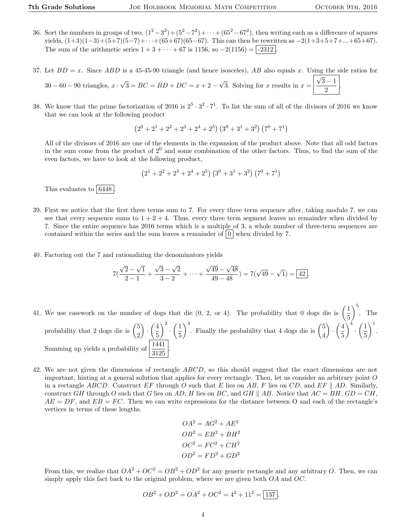- 36. Sort the numbers in groups of two,  $(1^2-3^2)+(5^2-7^2)+\cdots+(65^2-67^2)$ , then writing each as a difference of squares yields,  $(1+3)(1-3)+(5+7)(5-7)+\cdots+(65+67)(65-67)$ . This can then be rewritten as  $-2(1+3+5+7+\ldots+65+67)$ . The sum of the arithmetic series  $1 + 3 + \cdots + 67$  is 1156, so  $-2(1156) = |-2312|$ .
- 37. Let  $BD = x$ . Since  $ABD$  is a 45-45-90 triangle (and hence isosceles), AB also equals x. Using the side ratios for  $30 - 60 - 90$  triangles,  $x \cdot$ √  $3 = BC = BD + DC = x + 2 -$ √ 3. Solving for x results in  $x =$ √  $3 - 1$ 2 .
- 38. We know that the prime factorization of 2016 is  $2^5 \cdot 3^2 \cdot 7^1$ . To list the sum of all of the divisors of 2016 we know that we can look at the following product

$$
\left(2^{0}+2^{1}+2^{2}+2^{3}+2^{4}+2^{5}\right)\left(3^{0}+3^{1}+3^{2}\right)\left(7^{0}+7^{1}\right)
$$

All of the divisors of 2016 are one of the elements in the expansion of the product above. Note that all odd factors in the sum come from the product of  $2^0$  and some combination of the other factors. Thus, to find the sum of the even factors, we have to look at the following product,

$$
(2^1 + 2^2 + 2^3 + 2^4 + 2^5) (3^0 + 3^1 + 3^2) (7^0 + 7^1)
$$

This evaluates to  $\boxed{6448}$ .

- 39. First we notice that the first three terms sum to 7. For every three term sequence after, taking modulo 7, we can see that every sequence sums to  $1 + 2 + 4$ . Thus, every three term segment leaves no remainder when divided by 7. Since the entire sequence has 2016 terms which is a multiple of 3, a whole number of three-term sequences are contained within the series and the sum leaves a remainder of  $\vert 0 \vert$  when divided by 7.
- 40. Factoring out the 7 and rationalizing the denominators yields

$$
7(\frac{\sqrt{2}-\sqrt{1}}{2-1}+\frac{\sqrt{3}-\sqrt{2}}{3-2}+\cdots+\frac{\sqrt{49}-\sqrt{48}}{49-48})=7(\sqrt{49}-\sqrt{1})=\boxed{42}.
$$

- 41. We use casework on the number of dogs that die  $(0, 2, 0, 4)$ . The probability that 0 dogs die is  $\left(\frac{1}{5}\right)$ 5  $\Big)^5$ . The probability that 2 dogs die is  $\binom{5}{3}$ 2  $\Big) \cdot \Big( \frac{4}{5}$ 5  $\bigg\}^2 \cdot \bigg(\frac{1}{z}\bigg)$ 5  $\int_{0}^{3}$ . Finally the probability that 4 dogs die is  $\binom{5}{4}$ 4  $\Big) \cdot \Big( \frac{4}{5}$ 5  $\bigg\}^4 \cdot \bigg(\frac{1}{5}\bigg)$ 5  $\bigg)$ <sup>1</sup>. Summing up yields a probability of  $\left| \frac{1441}{3125} \right|$ .
- 42. We are not given the dimensions of rectangle ABCD, so this should suggest that the exact dimensions are not important, hinting at a general solution that applies for every rectangle. Then, let us consider an arbitrary point  $O$ in a rectangle ABCD. Construct EF through O such that E lies on AB, F lies on CD, and EF || AD. Similarly, construct GH through O such that G lies on AD, H lies on BC, and GH || AB. Notice that  $AC = BH$ ,  $GD = CH$ ,  $AE = DF$ , and  $EB = FC$ . Then we can write expressions for the distance between O and each of the rectangle's vertices in terms of these lengths.

$$
OA2 = AG2 + AE2
$$

$$
OB2 = EB2 + BH2
$$

$$
OC2 = FC2 + CH2
$$

$$
OD2 = FD2 + GD2
$$

From this, we realize that  $OA^2 + OC^2 = OB^2 + OD^2$  for any generic rectangle and any arbitrary O. Then, we can simply apply this fact back to the original problem, where we are given both  $OA$  and  $OC$ .

$$
OB2 + OD2 = OA2 + OC2 = 42 + 112 = \boxed{137}.
$$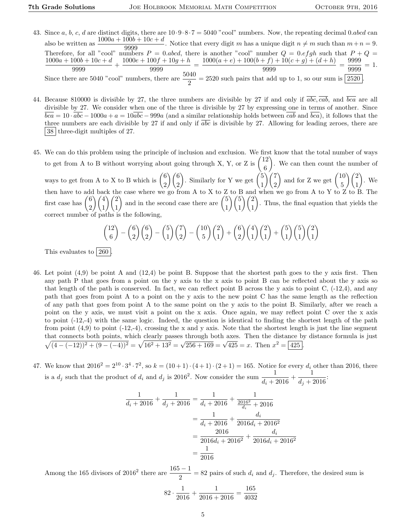- 43. Since a, b, c, d are distinct digits, there are  $10 \cdot 9 \cdot 8 \cdot 7 = 5040$  "cool" numbers. Now, the repeating decimal 0.abcd can also be written as  $\frac{1000a + 100b + 10c + d}{9999}$ . Notice that every digit m has a unique digit  $n \neq m$  such than  $m+n = 9$ . Therefore, for all "cool" numbers  $P = 0$  abcd, there is another "cool" number  $Q = 0$  efgh such that  $P + Q = 0$  $1000a + 100b + 10c + d$  $\frac{100b + 10c + d}{9999} + \frac{1000e + 100f + 10g + h}{9999}$  $\frac{90f+10g+h}{9999} = \frac{1000(a+e)+100(b+f)+10(c+g)+(d+h)}{9999}$  $\frac{(f+f)+10(c+g)+(d+h)}{9999} = \frac{9999}{9999}$  $\frac{9999}{9999} = 1.$ Since there are 5040 "cool" numbers, there are  $\frac{5040}{2} = 2520$  such pairs that add up to 1, so our sum is  $\boxed{2520}$ .
- 44. Because 810000 is divisible by 27, the three numbers are divisible by 27 if and only if  $\overline{abc}$ ,  $\overline{cab}$ , and  $\overline{bca}$  are all divisible by 27. We consider when one of the three is divisible by 27 by expressing one in terms of another. Since  $bca = 10 \cdot abc - 1000a + a = 10abc - 999a$  (and a similar relationship holds between cab and  $bca$ ), it follows that the three numbers are each divisible by 27 if and only if  $\overline{abc}$  is divisible by 27. Allowing for leading zeroes, there are 38 three-digit multiples of 27.
- 45. We can do this problem using the principle of inclusion and exclusion. We first know that the total number of ways to get from A to B without worrying about going through X, Y, or Z is  $\begin{pmatrix} 12 \\ 2 \end{pmatrix}$ 6 . We can then count the number of ways to get from A to X to B which is  $\begin{pmatrix} 6 \\ 0 \end{pmatrix}$ 2  $\binom{6}{ }$ 2 ). Similarly for Y we get  $\binom{5}{1}$ 1  $\binom{7}{ }$ 2 ) and for Z we get  $\begin{pmatrix} 10 \\ 5 \end{pmatrix}$ 5  $\setminus$  (2) 1  $\big)$ . We then have to add back the case where we go from A to X to Z to B and when we go from A to Y to Z to B. The first case has  $\binom{6}{5}$ 2  $\setminus$  /4 1  $\setminus$   $\ell$ 1 ) and in the second case there are  $\binom{5}{1}$ 1  $\frac{5}{5}$ 1  $\setminus$  (2) 1 . Thus, the final equation that yields the correct number of paths is the following,

$$
\binom{12}{6} - \binom{6}{2} \binom{6}{2} - \binom{5}{1} \binom{7}{2} - \binom{10}{5} \binom{2}{1} + \binom{6}{2} \binom{4}{1} \binom{2}{1} + \binom{5}{1} \binom{5}{1} \binom{2}{1}
$$

This evaluates to  $\boxed{260}$ .

- 46. Let point (4,9) be point A and (12,4) be point B. Suppose that the shortest path goes to the y axis first. Then any path P that goes from a point on the y axis to the x axis to point B can be reflected about the y axis so that length of the path is conserved. In fact, we can reflect point B across the y axis to point  $C$ ,  $(-12,4)$ , and any path that goes from point A to a point on the y axis to the new point C has the same length as the reflection of any path that goes from point A to the same point on the y axis to the point B. Similarly, after we reach a point on the y axis, we must visit a point on the x axis. Once again, we may reflect point C over the x axis to point (-12,-4) with the same logic. Indeed, the question is identical to finding the shortest length of the path from point  $(4,9)$  to point  $(-12,-4)$ , crossing the x and y axis. Note that the shortest length is just the line segment that connects both points, which clearly passes through both axes. Then the distance by distance formula is just  $\sqrt{(4-(-12))^2+(9-(-4))^2} = \sqrt{16^2+13^2} = \sqrt{256+169} = \sqrt{425} = x$ . Then  $x^2 = 425$ .
- 47. We know that  $2016^2 = 2^{10} \cdot 3^4 \cdot 7^2$ , so  $k = (10+1) \cdot (4+1) \cdot (2+1) = 165$ . Notice for every  $d_i$  other than 2016, there is a  $d_j$  such that the product of  $d_i$  and  $d_j$  is 2016<sup>2</sup>. Now consider the sum  $\frac{1}{d_i+2016}+\frac{1}{d_j+2016}$  $\frac{1}{d_j + 2016}$

$$
\frac{1}{d_i + 2016} + \frac{1}{d_j + 2016} = \frac{1}{d_i + 2016} + \frac{1}{\frac{2016^2}{d_i} + 2016}
$$

$$
= \frac{1}{d_i + 2016} + \frac{d_i}{2016d_i + 2016^2}
$$

$$
= \frac{2016}{2016d_i + 2016^2} + \frac{d_i}{2016d_i + 2016^2}
$$

$$
= \frac{1}{2016}
$$

Among the 165 divisors of 2016<sup>2</sup> there are  $\frac{165 - 1}{2} = 82$  pairs of such  $d_i$  and  $d_j$ . Therefore, the desired sum is

$$
82 \cdot \frac{1}{2016} + \frac{1}{2016 + 2016} = \frac{165}{4032}
$$